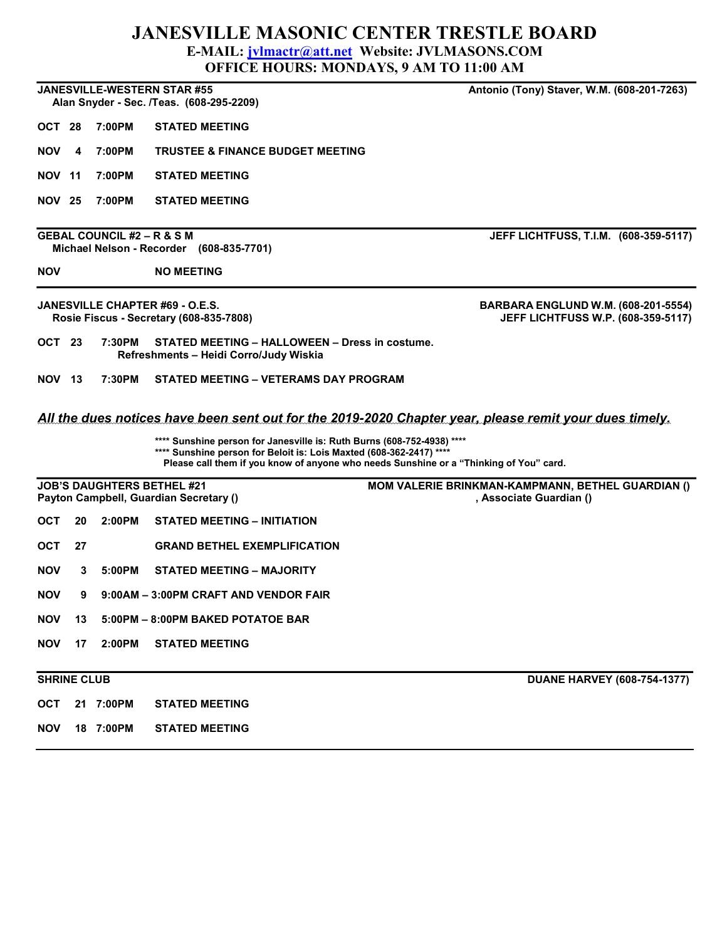## JANESVILLE MASONIC CENTER TRESTLE BOARD

E-MAIL: *jvlmactr@att.net* Website: JVLMASONS.COM

OFFICE HOURS: MONDAYS, 9 AM TO 11:00 AM

|                                                                                                              |    |                                       |                                                                                                                                               | <u>OFFICE HOURS, MORDAIN, ZAMETO H.W AM</u>                                            |  |  |  |  |  |  |
|--------------------------------------------------------------------------------------------------------------|----|---------------------------------------|-----------------------------------------------------------------------------------------------------------------------------------------------|----------------------------------------------------------------------------------------|--|--|--|--|--|--|
|                                                                                                              |    |                                       | <b>JANESVILLE-WESTERN STAR #55</b><br>Alan Snyder - Sec. /Teas. (608-295-2209)                                                                | Antonio (Tony) Staver, W.M. (608-201-7263)                                             |  |  |  |  |  |  |
| OCT 28                                                                                                       |    | 7:00PM                                | <b>STATED MEETING</b>                                                                                                                         |                                                                                        |  |  |  |  |  |  |
| <b>NOV</b>                                                                                                   | 4  | 7:00PM                                | <b>TRUSTEE &amp; FINANCE BUDGET MEETING</b>                                                                                                   |                                                                                        |  |  |  |  |  |  |
| <b>NOV 11</b>                                                                                                |    | 7:00PM                                | <b>STATED MEETING</b>                                                                                                                         |                                                                                        |  |  |  |  |  |  |
| <b>NOV 25</b>                                                                                                |    | 7:00PM                                | <b>STATED MEETING</b>                                                                                                                         |                                                                                        |  |  |  |  |  |  |
|                                                                                                              |    | <b>GEBAL COUNCIL #2 – R &amp; S M</b> | Michael Nelson - Recorder (608-835-7701)                                                                                                      | JEFF LICHTFUSS, T.I.M. (608-359-5117)                                                  |  |  |  |  |  |  |
| <b>NOV</b>                                                                                                   |    |                                       | <b>NO MEETING</b>                                                                                                                             |                                                                                        |  |  |  |  |  |  |
|                                                                                                              |    |                                       | <b>JANESVILLE CHAPTER #69 - O.E.S.</b><br>Rosie Fiscus - Secretary (608-835-7808)                                                             | <b>BARBARA ENGLUND W.M. (608-201-5554)</b><br>JEFF LICHTFUSS W.P. (608-359-5117)       |  |  |  |  |  |  |
| OCT 23<br>7:30PM<br>STATED MEETING - HALLOWEEN - Dress in costume.<br>Refreshments - Heidi Corro/Judy Wiskia |    |                                       |                                                                                                                                               |                                                                                        |  |  |  |  |  |  |
| <b>NOV 13</b>                                                                                                |    | 7:30PM                                | STATED MEETING - VETERAMS DAY PROGRAM                                                                                                         |                                                                                        |  |  |  |  |  |  |
| All the dues notices have been sent out for the 2019-2020 Chapter year, please remit your dues timely.       |    |                                       |                                                                                                                                               |                                                                                        |  |  |  |  |  |  |
|                                                                                                              |    |                                       | **** Sunshine person for Janesville is: Ruth Burns (608-752-4938) ****<br>**** Sunshine person for Beloit is: Lois Maxted (608-362-2417) **** | Please call them if you know of anyone who needs Sunshine or a "Thinking of You" card. |  |  |  |  |  |  |
|                                                                                                              |    |                                       | <b>JOB'S DAUGHTERS BETHEL #21</b><br>Payton Campbell, Guardian Secretary ()                                                                   | MOM VALERIE BRINKMAN-KAMPMANN, BETHEL GUARDIAN ()<br>, Associate Guardian ()           |  |  |  |  |  |  |
| <b>OCT</b>                                                                                                   | 20 | 2:00PM                                | <b>STATED MEETING - INITIATION</b>                                                                                                            |                                                                                        |  |  |  |  |  |  |
| <b>OCT</b>                                                                                                   | 27 |                                       | <b>GRAND BETHEL EXEMPLIFICATION</b>                                                                                                           |                                                                                        |  |  |  |  |  |  |
| <b>NOV</b>                                                                                                   | 3  | 5:00PM                                | STATED MEETING – MAJORITY                                                                                                                     |                                                                                        |  |  |  |  |  |  |
| <b>NOV</b>                                                                                                   | 9  |                                       | 9:00AM - 3:00PM CRAFT AND VENDOR FAIR                                                                                                         |                                                                                        |  |  |  |  |  |  |
| <b>NOV</b>                                                                                                   | 13 |                                       | 5:00PM - 8:00PM BAKED POTATOE BAR                                                                                                             |                                                                                        |  |  |  |  |  |  |
| <b>NOV</b>                                                                                                   | 17 | 2:00PM                                | <b>STATED MEETING</b>                                                                                                                         |                                                                                        |  |  |  |  |  |  |
| <b>SHRINE CLUB</b>                                                                                           |    |                                       |                                                                                                                                               | <b>DUANE HARVEY (608-754-1377)</b>                                                     |  |  |  |  |  |  |
| <b>OCT</b>                                                                                                   |    | 21 7:00PM                             | <b>STATED MEETING</b>                                                                                                                         |                                                                                        |  |  |  |  |  |  |
| <b>NOV</b>                                                                                                   |    | 18 7:00PM                             | <b>STATED MEETING</b>                                                                                                                         |                                                                                        |  |  |  |  |  |  |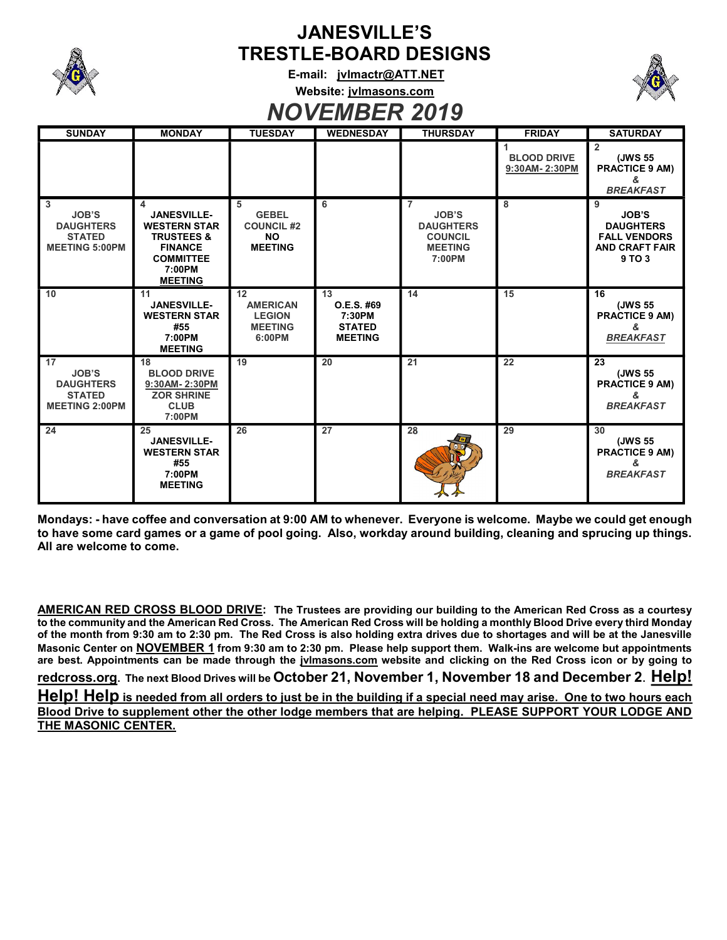

## JANESVILLE'S TRESTLE-BOARD DESIGNS

E-mail: jvlmactr@ATT.NET Website: jvlmasons.com



## NOVEMBER 2019

| <b>SUNDAY</b>                                                                                 | <b>MONDAY</b>                                                                                                                             | <b>TUESDAY</b>                                                        | <b>WEDNESDAY</b>                                              | <b>THURSDAY</b>                                                                                  | <b>FRIDAY</b>                       | <b>SATURDAY</b>                                                                                 |
|-----------------------------------------------------------------------------------------------|-------------------------------------------------------------------------------------------------------------------------------------------|-----------------------------------------------------------------------|---------------------------------------------------------------|--------------------------------------------------------------------------------------------------|-------------------------------------|-------------------------------------------------------------------------------------------------|
|                                                                                               |                                                                                                                                           |                                                                       |                                                               |                                                                                                  | <b>BLOOD DRIVE</b><br>9:30AM-2:30PM | $\overline{2}$<br>(JWS 55<br><b>PRACTICE 9 AM)</b><br><b>BREAKFAST</b>                          |
| 3<br><b>JOB'S</b><br><b>DAUGHTERS</b><br><b>STATED</b><br><b>MEETING 5:00PM</b>               | 4<br><b>JANESVILLE-</b><br><b>WESTERN STAR</b><br><b>TRUSTEES &amp;</b><br><b>FINANCE</b><br><b>COMMITTEE</b><br>7:00PM<br><b>MEETING</b> | 5<br><b>GEBEL</b><br><b>COUNCIL #2</b><br><b>NO</b><br><b>MEETING</b> | 6                                                             | $\overline{7}$<br><b>JOB'S</b><br><b>DAUGHTERS</b><br><b>COUNCIL</b><br><b>MEETING</b><br>7:00PM | 8                                   | 9<br><b>JOB'S</b><br><b>DAUGHTERS</b><br><b>FALL VENDORS</b><br><b>AND CRAFT FAIR</b><br>9 TO 3 |
| 10                                                                                            | 11<br><b>JANESVILLE-</b><br><b>WESTERN STAR</b><br>#55<br>7:00PM<br><b>MEETING</b>                                                        | 12<br><b>AMERICAN</b><br><b>LEGION</b><br><b>MEETING</b><br>6:00PM    | 13<br>O.E.S. #69<br>7:30PM<br><b>STATED</b><br><b>MEETING</b> | 14                                                                                               | 15                                  | 16<br>(JWS 55<br><b>PRACTICE 9 AM)</b><br>&<br><b>BREAKFAST</b>                                 |
| $\overline{17}$<br><b>JOB'S</b><br><b>DAUGHTERS</b><br><b>STATED</b><br><b>MEETING 2:00PM</b> | 18<br><b>BLOOD DRIVE</b><br>9:30AM-2:30PM<br><b>ZOR SHRINE</b><br><b>CLUB</b><br>7:00PM                                                   | $\overline{19}$                                                       | $\overline{20}$                                               | $\overline{21}$                                                                                  | $\overline{22}$                     | $\overline{23}$<br>(JWS 55<br><b>PRACTICE 9 AM)</b><br><b>BREAKFAST</b>                         |
| 24                                                                                            | 25<br><b>JANESVILLE-</b><br><b>WESTERN STAR</b><br>#55<br>7:00PM<br><b>MEETING</b>                                                        | 26                                                                    | 27                                                            | 28                                                                                               | 29                                  | 30<br>(JWS 55<br><b>PRACTICE 9 AM)</b><br>ጼ<br><b>BREAKFAST</b>                                 |

Mondays: - have coffee and conversation at 9:00 AM to whenever. Everyone is welcome. Maybe we could get enough to have some card games or a game of pool going. Also, workday around building, cleaning and sprucing up things. All are welcome to come.

AMERICAN RED CROSS BLOOD DRIVE: The Trustees are providing our building to the American Red Cross as a courtesy to the community and the American Red Cross. The American Red Cross will be holding a monthly Blood Drive every third Monday of the month from 9:30 am to 2:30 pm. The Red Cross is also holding extra drives due to shortages and will be at the Janesville Masonic Center on NOVEMBER 1 from 9:30 am to 2:30 pm. Please help support them. Walk-ins are welcome but appointments are best. Appointments can be made through the jvlmasons.com website and clicking on the Red Cross icon or by going to redcross.org. The next Blood Drives will be October 21, November 1, November 18 and December 2. Help! Help! Help is needed from all orders to just be in the building if a special need may arise. One to two hours each Blood Drive to supplement other the other lodge members that are helping. PLEASE SUPPORT YOUR LODGE AND THE MASONIC CENTER.